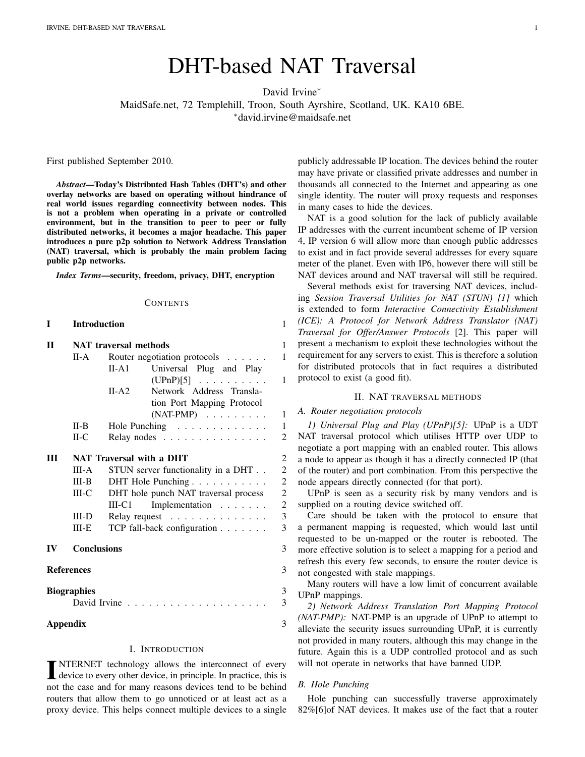# DHT-based NAT Traversal

David Irvine<sup>∗</sup>

MaidSafe.net, 72 Templehill, Troon, South Ayrshire, Scotland, UK. KA10 6BE.

<sup>∗</sup>david.irvine@maidsafe.net

First published September 2010.

*Abstract*—Today's Distributed Hash Tables (DHT's) and other overlay networks are based on operating without hindrance of real world issues regarding connectivity between nodes. This is not a problem when operating in a private or controlled environment, but in the transition to peer to peer or fully distributed networks, it becomes a major headache. This paper introduces a pure p2p solution to Network Address Translation (NAT) traversal, which is probably the main problem facing public p2p networks.

*Index Terms*—security, freedom, privacy, DHT, encryption

#### **CONTENTS**

| T         | <b>Introduction</b>                    |                                                             | $\mathbf{1}$                               |  |  |  |  |  |  |
|-----------|----------------------------------------|-------------------------------------------------------------|--------------------------------------------|--|--|--|--|--|--|
| П         | <b>NAT</b> traversal methods           |                                                             |                                            |  |  |  |  |  |  |
|           | Router negotiation protocols<br>$II-A$ |                                                             |                                            |  |  |  |  |  |  |
|           |                                        | Universal Plug and Play<br>$II-A1$                          | $\mathbf{1}$                               |  |  |  |  |  |  |
|           |                                        | $(UPnP)[5]$<br>Network Address Transla-<br>$II-A2$          |                                            |  |  |  |  |  |  |
|           |                                        | tion Port Mapping Protocol<br>$(NAT-PMP) \dots \dots \dots$ | $\mathbf{1}$                               |  |  |  |  |  |  |
|           | $II-B$                                 | Hole Punching                                               | $\mathbf{1}$                               |  |  |  |  |  |  |
|           | $II-C$                                 | $\overline{c}$<br>Relay nodes                               |                                            |  |  |  |  |  |  |
| Ш         | NAT Traversal with a DHT               |                                                             |                                            |  |  |  |  |  |  |
|           | III-A                                  | STUN server functionality in a DHT                          |                                            |  |  |  |  |  |  |
|           | $III-B$                                | DHT Hole Punching                                           |                                            |  |  |  |  |  |  |
|           | $III-C$                                | DHT hole punch NAT traversal process                        |                                            |  |  |  |  |  |  |
|           |                                        | Implementation<br>$III-C1$                                  | $\begin{array}{c} 2 \\ 2 \\ 3 \end{array}$ |  |  |  |  |  |  |
|           | $III-D$                                | Relay request                                               |                                            |  |  |  |  |  |  |
|           | $III-E$                                | TCP fall-back configuration                                 | 3                                          |  |  |  |  |  |  |
| $\bf{IV}$ | <b>Conclusions</b>                     |                                                             |                                            |  |  |  |  |  |  |
|           | <b>References</b>                      |                                                             | 3                                          |  |  |  |  |  |  |
|           | <b>Biographies</b>                     | David Irvine.                                               | 3<br>3                                     |  |  |  |  |  |  |
|           | <b>Appendix</b>                        |                                                             | 3                                          |  |  |  |  |  |  |

### I. INTRODUCTION

<span id="page-0-0"></span>**INTERNET** technology allows the interconnect of every device to every other device, in principle. In practice, this is not the case and for many reasons devices tend to be behind NTERNET technology allows the interconnect of every device to every other device, in principle. In practice, this is routers that allow them to go unnoticed or at least act as a proxy device. This helps connect multiple devices to a single

publicly addressable IP location. The devices behind the router may have private or classified private addresses and number in thousands all connected to the Internet and appearing as one single identity. The router will proxy requests and responses in many cases to hide the devices.

NAT is a good solution for the lack of publicly available IP addresses with the current incumbent scheme of IP version 4, IP version 6 will allow more than enough public addresses to exist and in fact provide several addresses for every square meter of the planet. Even with IP6, however there will still be NAT devices around and NAT traversal will still be required.

Several methods exist for traversing NAT devices, including *Session Traversal Utilities for NAT (STUN) [\[1\]](#page-2-7)* which is extended to form *Interactive Connectivity Establishment (ICE): A Protocol for Network Address Translator (NAT) Traversal for Offer/Answer Protocols* [\[2\]](#page-2-8). This paper will present a mechanism to exploit these technologies without the requirement for any servers to exist. This is therefore a solution for distributed protocols that in fact requires a distributed protocol to exist (a good fit).

#### II. NAT TRAVERSAL METHODS

### <span id="page-0-2"></span><span id="page-0-1"></span>*A. Router negotiation protocols*

<span id="page-0-3"></span>*1) Universal Plug and Play (UPnP)[\[5\]](#page-2-0):* UPnP is a UDT NAT traversal protocol which utilises HTTP over UDP to negotiate a port mapping with an enabled router. This allows a node to appear as though it has a directly connected IP (that of the router) and port combination. From this perspective the node appears directly connected (for that port).

UPnP is seen as a security risk by many vendors and is supplied on a routing device switched off.

Care should be taken with the protocol to ensure that a permanent mapping is requested, which would last until requested to be un-mapped or the router is rebooted. The more effective solution is to select a mapping for a period and refresh this every few seconds, to ensure the router device is not congested with stale mappings.

Many routers will have a low limit of concurrent available UPnP mappings.

<span id="page-0-4"></span>*2) Network Address Translation Port Mapping Protocol (NAT-PMP):* NAT-PMP is an upgrade of UPnP to attempt to alleviate the security issues surrounding UPnP, it is currently not provided in many routers, although this may change in the future. Again this is a UDP controlled protocol and as such will not operate in networks that have banned UDP.

### <span id="page-0-5"></span>*B. Hole Punching*

Hole punching can successfully traverse approximately 82%[\[6\]](#page-2-9)of NAT devices. It makes use of the fact that a router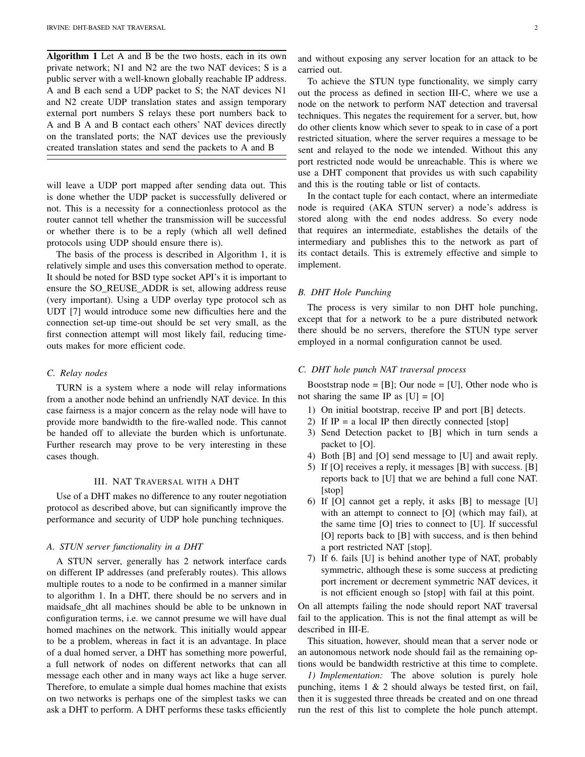Algorithm 1 Let A and B be the two hosts, each in its own private network; N1 and N2 are the two NAT devices; S is a public server with a well-known globally reachable IP address. A and B each send a UDP packet to S; the NAT devices N1 and N2 create UDP translation states and assign temporary external port numbers S relays these port numbers back to A and B A and B contact each others' NAT devices directly on the translated ports; the NAT devices use the previously created translation states and send the packets to A and B

will leave a UDP port mapped after sending data out. This is done whether the UDP packet is successfully delivered or not. This is a necessity for a connectionless protocol as the router cannot tell whether the transmission will be successful or whether there is to be a reply (which all well defined protocols using UDP should ensure there is).

The basis of the process is described in Algorithm 1, it is relatively simple and uses this conversation method to operate. It should be noted for BSD type socket API's it is important to ensure the SO\_REUSE\_ADDR is set, allowing address reuse (very important). Using a UDP overlay type protocol sch as UDT [\[7\]](#page-2-10) would introduce some new difficulties here and the connection set-up time-out should be set very small, as the first connection attempt will most likely fail, reducing timeouts makes for more efficient code.

### <span id="page-1-0"></span>*C. Relay nodes*

TURN is a system where a node will relay informations from a another node behind an unfriendly NAT device. In this case fairness is a major concern as the relay node will have to provide more bandwidth to the fire-walled node. This cannot be handed off to alleviate the burden which is unfortunate. Further research may prove to be very interesting in these cases though.

### III. NAT TRAVERSAL WITH A DHT

<span id="page-1-1"></span>Use of a DHT makes no difference to any router negotiation protocol as described above, but can significantly improve the performance and security of UDP hole punching techniques.

#### <span id="page-1-2"></span>*A. STUN server functionality in a DHT*

A STUN server, generally has 2 network interface cards on different IP addresses (and preferably routes). This allows multiple routes to a node to be confirmed in a manner similar to algorithm 1. In a DHT, there should be no servers and in maidsafe dht all machines should be able to be unknown in configuration terms, i.e. we cannot presume we will have dual homed machines on the network. This initially would appear to be a problem, whereas in fact it is an advantage. In place of a dual homed server, a DHT has something more powerful, a full network of nodes on different networks that can all message each other and in many ways act like a huge server. Therefore, to emulate a simple dual homes machine that exists on two networks is perhaps one of the simplest tasks we can ask a DHT to perform. A DHT performs these tasks efficiently and without exposing any server location for an attack to be carried out.

To achieve the STUN type functionality, we simply carry out the process as defined in section [III-C,](#page-1-4) where we use a node on the network to perform NAT detection and traversal techniques. This negates the requirement for a server, but, how do other clients know which sever to speak to in case of a port restricted situation, where the server requires a message to be sent and relayed to the node we intended. Without this any port restricted node would be unreachable. This is where we use a DHT component that provides us with such capability and this is the routing table or list of contacts.

In the contact tuple for each contact, where an intermediate node is required (AKA STUN server) a node's address is stored along with the end nodes address. So every node that requires an intermediate, establishes the details of the intermediary and publishes this to the network as part of its contact details. This is extremely effective and simple to implement.

### <span id="page-1-3"></span>*B. DHT Hole Punching*

The process is very similar to non DHT hole punching, except that for a network to be a pure distributed network there should be no servers, therefore the STUN type server employed in a normal configuration cannot be used.

#### <span id="page-1-4"></span>*C. DHT hole punch NAT traversal process*

Booststrap node =  $[B]$ ; Our node =  $[U]$ , Other node who is not sharing the same IP as  $[U] = [O]$ 

- 1) On initial bootstrap, receive IP and port [B] detects.
- 2) If  $IP = a$  local IP then directly connected [stop]
- 3) Send Detection packet to [B] which in turn sends a packet to [O].
- 4) Both [B] and [O] send message to [U] and await reply.
- 5) If [O] receives a reply, it messages [B] with success. [B] reports back to [U] that we are behind a full cone NAT. [stop]
- 6) If [O] cannot get a reply, it asks [B] to message [U] with an attempt to connect to [O] (which may fail), at the same time [O] tries to connect to [U]. If successful [O] reports back to [B] with success, and is then behind a port restricted NAT [stop].
- 7) If 6. fails [U] is behind another type of NAT, probably symmetric, although these is some success at predicting port increment or decrement symmetric NAT devices, it is not efficient enough so [stop] with fail at this point.

On all attempts failing the node should report NAT traversal fail to the application. This is not the final attempt as will be described in [III-E.](#page-2-2)

This situation, however, should mean that a server node or an autonomous network node should fail as the remaining options would be bandwidth restrictive at this time to complete.

<span id="page-1-5"></span>*1) Implementation:* The above solution is purely hole punching, items 1 & 2 should always be tested first, on fail, then it is suggested three threads be created and on one thread run the rest of this list to complete the hole punch attempt.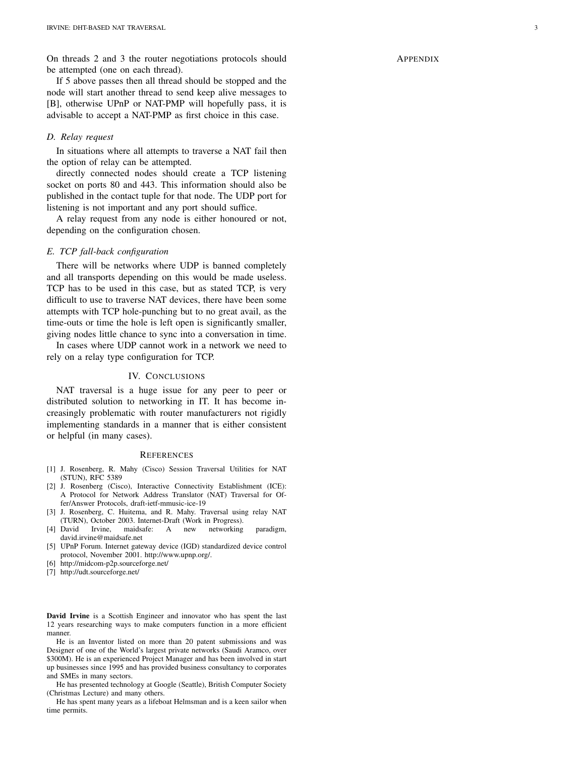On threads 2 and 3 the router negotiations protocols should be attempted (one on each thread).

If 5 above passes then all thread should be stopped and the node will start another thread to send keep alive messages to [B], otherwise UPnP or NAT-PMP will hopefully pass, it is advisable to accept a NAT-PMP as first choice in this case.

### <span id="page-2-1"></span>*D. Relay request*

In situations where all attempts to traverse a NAT fail then the option of relay can be attempted.

directly connected nodes should create a TCP listening socket on ports 80 and 443. This information should also be published in the contact tuple for that node. The UDP port for listening is not important and any port should suffice.

A relay request from any node is either honoured or not, depending on the configuration chosen.

### <span id="page-2-2"></span>*E. TCP fall-back configuration*

There will be networks where UDP is banned completely and all transports depending on this would be made useless. TCP has to be used in this case, but as stated TCP, is very difficult to use to traverse NAT devices, there have been some attempts with TCP hole-punching but to no great avail, as the time-outs or time the hole is left open is significantly smaller, giving nodes little chance to sync into a conversation in time.

In cases where UDP cannot work in a network we need to rely on a relay type configuration for TCP.

### IV. CONCLUSIONS

<span id="page-2-3"></span>NAT traversal is a huge issue for any peer to peer or distributed solution to networking in IT. It has become increasingly problematic with router manufacturers not rigidly implementing standards in a manner that is either consistent or helpful (in many cases).

#### <span id="page-2-4"></span>**REFERENCES**

- <span id="page-2-7"></span>[1] J. Rosenberg, R. Mahy (Cisco) Session Traversal Utilities for NAT (STUN), RFC 5389
- <span id="page-2-8"></span>[2] J. Rosenberg (Cisco), Interactive Connectivity Establishment (ICE): A Protocol for Network Address Translator (NAT) Traversal for Offer/Answer Protocols, draft-ietf-mmusic-ice-19
- [3] J. Rosenberg, C. Huitema, and R. Mahy. Traversal using relay NAT (TURN), October 2003. Internet-Draft (Work in Progress).
- [4] David Irvine, maidsafe: A new networking paradigm, david.irvine@maidsafe.net
- <span id="page-2-0"></span>[5] UPnP Forum. Internet gateway device (IGD) standardized device control protocol, November 2001. http://www.upnp.org/.
- <span id="page-2-9"></span>[6] http://midcom-p2p.sourceforge.net/
- <span id="page-2-10"></span><span id="page-2-5"></span>[7] http://udt.sourceforge.net/

David Irvine is a Scottish Engineer and innovator who has spent the last 12 years researching ways to make computers function in a more efficient manner.

He is an Inventor listed on more than 20 patent submissions and was Designer of one of the World's largest private networks (Saudi Aramco, over \$300M). He is an experienced Project Manager and has been involved in start up businesses since 1995 and has provided business consultancy to corporates and SMEs in many sectors.

He has presented technology at Google (Seattle), British Computer Society (Christmas Lecture) and many others.

He has spent many years as a lifeboat Helmsman and is a keen sailor when time permits.

### <span id="page-2-6"></span>APPENDIX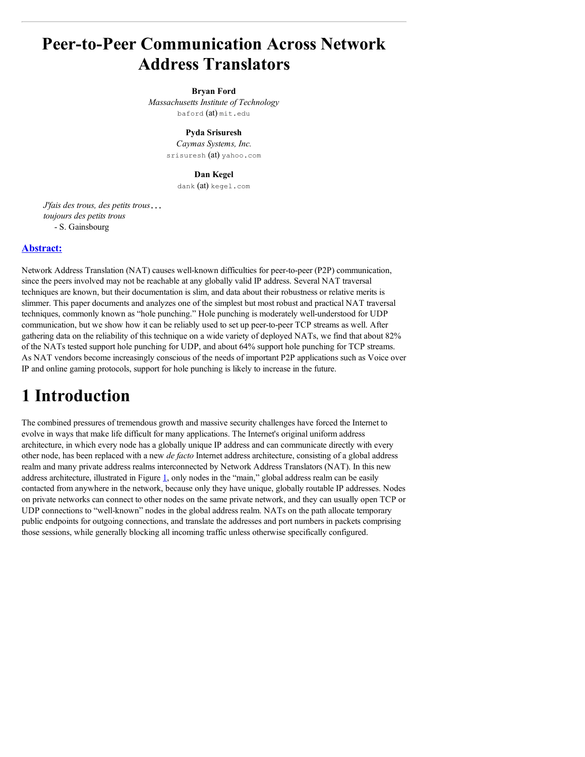# **Peer-to-Peer Communication Across Network Address Translators**

### **Bryan Ford**

*Massachusetts Institute of Technology* baford (at) mit.edu

> **Pyda Srisuresh** *Caymas Systems, Inc.* srisuresh (at) yahoo.com

### **Dan Kegel**

dank (at) kegel.com

*J'fais des trous, des petits trous toujours des petits trous* - S. Gainsbourg

### **Abstract:**

Network Address Translation (NAT) causes well-known difficulties for peer-to-peer (P2P) communication, since the peers involved may not be reachable at any globally valid IP address. Several NAT traversal techniques are known, but their documentation is slim, and data about their robustness or relative merits is slimmer. This paper documents and analyzes one of the simplest but most robust and practical NAT traversal techniques, commonly known as "hole punching." Hole punching is moderately well-understood for UDP communication, but we show how it can be reliably used to set up peer-to-peer TCP streams as well. After gathering data on the reliability of this technique on a wide variety of deployed NATs, we find that about 82% of the NATs tested support hole punching for UDP, and about 64% support hole punching for TCP streams. As NAT vendors become increasingly conscious of the needs of important P2P applications such as Voice over IP and online gaming protocols, support for hole punching is likely to increase in the future.

# **1 Introduction**

The combined pressures of tremendous growth and massive security challenges have forced the Internet to evolve in ways that make life difficult for many applications. The Internet's original uniform address architecture, in which every node has a globally unique IP address and can communicate directly with every other node, has been replaced with a new *de facto* Internet address architecture, consisting of a global address realm and many private address realms interconnected by Network Address Translators (NAT). In this new address architecture, illustrated in Figure  $1$ , only nodes in the "main," global address realm can be easily contacted from anywhere in the network, because only they have unique, globally routable IP addresses. Nodes on private networks can connect to other nodes on the same private network, and they can usually open TCP or UDP connections to "well-known" nodes in the global address realm. NATs on the path allocate temporary public endpoints for outgoing connections, and translate the addresses and port numbers in packets comprising those sessions, while generally blocking all incoming traffic unless otherwise specifically configured.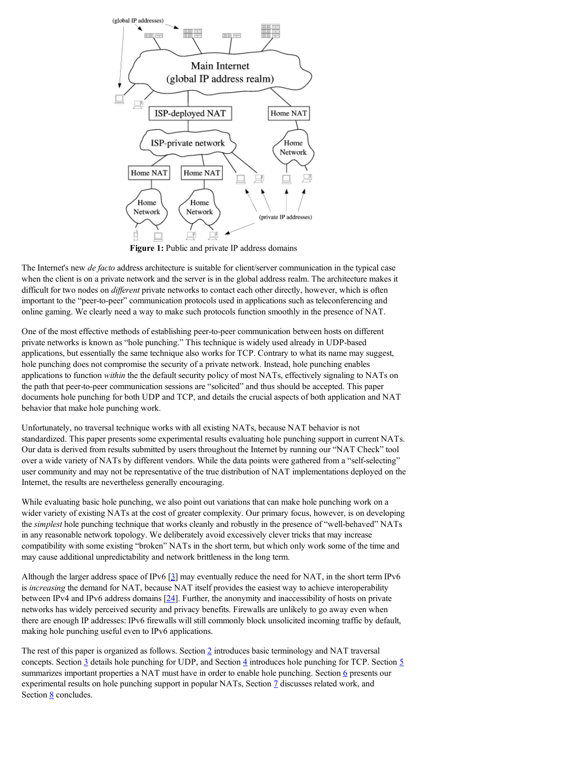

**Figure 1:** Public and private IP address domains

The Internet's new *de facto* address architecture is suitable for client/server communication in the typical case when the client is on a private network and the server is in the global address realm. The architecture makes it difficult for two nodes on *different* private networks to contact each other directly, however, which is often important to the "peer-to-peer" communication protocols used in applications such as teleconferencing and online gaming. We clearly need a way to make such protocols function smoothly in the presence of NAT.

One of the most effective methods of establishing peer-to-peer communication between hosts on different private networks is known as "hole punching." This technique is widely used already in UDP-based applications, but essentially the same technique also works for TCP. Contrary to what its name may suggest, hole punching does not compromise the security of a private network. Instead, hole punching enables applications to function *within* the the default security policy of most NATs, effectively signaling to NATs on the path that peer-to-peer communication sessions are "solicited" and thus should be accepted. This paper documents hole punching for both UDP and TCP, and details the crucial aspects of both application and NAT behavior that make hole punching work.

Unfortunately, no traversal technique works with all existing NATs, because NAT behavior is not standardized. This paper presents some experimental results evaluating hole punching support in current NATs. Our data is derived from results submitted by users throughout the Internet by running our "NAT Check" tool over a wide variety of NATs by different vendors. While the data points were gathered from a "self-selecting" user community and may not be representative of the true distribution of NAT implementations deployed on the Internet, the results are nevertheless generally encouraging.

While evaluating basic hole punching, we also point out variations that can make hole punching work on a wider variety of existing NATs at the cost of greater complexity. Our primary focus, however, is on developing the *simplest* hole punching technique that works cleanly and robustly in the presence of "well-behaved" NATs in any reasonable network topology. We deliberately avoid excessively clever tricks that may increase compatibility with some existing "broken" NATs in the short term, but which only work some of the time and may cause additional unpredictability and network brittleness in the long term.

Although the larger address space of IPv6  $\lceil 2 \rceil$  may eventually reduce the need for NAT, in the short term IPv6 is *increasing* the demand for NAT, because NAT itself provides the easiest way to achieve interoperability between IPv4 and IPv6 address domains [24]. Further, the anonymity and inaccessibility of hosts on private networks has widely perceived security and privacy benefits. Firewalls are unlikely to go away even when there are enough IP addresses: IPv6 firewalls will still commonly block unsolicited incoming traffic by default, making hole punching useful even to IPv6 applications.

The rest of this paper is organized as follows. Section 2 introduces basic terminology and NAT traversal concepts. Section  $\frac{3}{2}$  details hole punching for UDP, and Section  $\frac{4}{3}$  introduces hole punching for TCP. Section  $\frac{5}{3}$ summarizes important properties a NAT must have in order to enable hole punching. Section 6 presents our experimental results on hole punching support in popular NATs, Section  $\mathcal I$  discusses related work, and Section **8** concludes.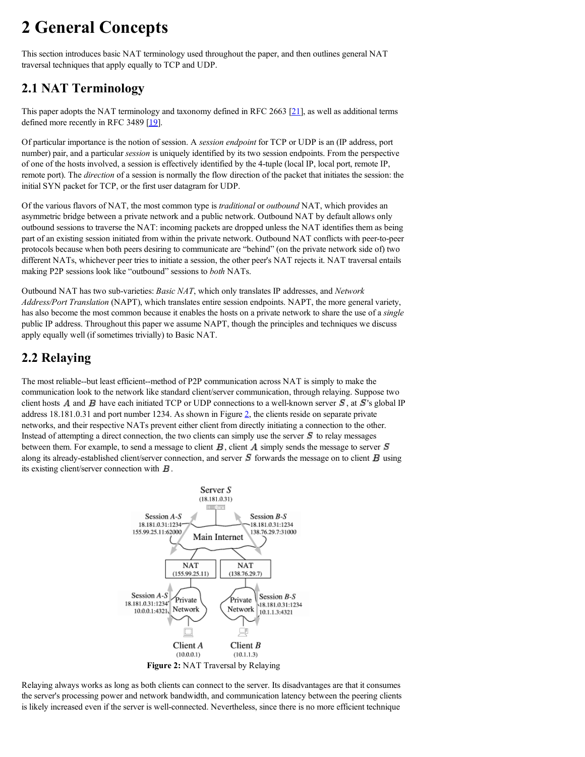# **2 General Concepts**

This section introduces basic NAT terminology used throughout the paper, and then outlines general NAT traversal techniques that apply equally to TCP and UDP.

## **2.1 NAT Terminology**

This paper adopts the NAT terminology and taxonomy defined in RFC 2663 [21], as well as additional terms defined more recently in RFC 3489 [19].

Of particular importance is the notion of session. A *session endpoint* for TCP or UDP is an (IP address, port number) pair, and a particular *session* is uniquely identified by its two session endpoints. From the perspective of one of the hosts involved, a session is effectively identified by the 4-tuple (local IP, local port, remote IP, remote port). The *direction* of a session is normally the flow direction of the packet that initiates the session: the initial SYN packet for TCP, or the first user datagram for UDP.

Of the various flavors of NAT, the most common type is *traditional* or *outbound* NAT, which provides an asymmetric bridge between a private network and a public network. Outbound NAT by default allows only outbound sessions to traverse the NAT: incoming packets are dropped unless the NAT identifies them as being part of an existing session initiated from within the private network. Outbound NAT conflicts with peer-to-peer protocols because when both peers desiring to communicate are "behind" (on the private network side of) two different NATs, whichever peer tries to initiate a session, the other peer's NAT rejects it. NAT traversal entails making P2P sessions look like "outbound" sessions to *both* NATs.

Outbound NAT has two sub-varieties: *Basic NAT*, which only translates IP addresses, and *Network Address/Port Translation* (NAPT), which translates entire session endpoints. NAPT, the more general variety, has also become the most common because it enables the hosts on a private network to share the use of a *single* public IP address. Throughout this paper we assume NAPT, though the principles and techniques we discuss apply equally well (if sometimes trivially) to Basic NAT.

## **2.2 Relaying**

The most reliable--but least efficient--method of P2P communication across NAT is simply to make the communication look to the network like standard client/server communication, through relaying. Suppose two client hosts A and B have each initiated TCP or UDP connections to a well-known server  $S$ , at  $S$ 's global IP address 18.181.0.31 and port number 1234. As shown in Figure 2, the clients reside on separate private networks, and their respective NATs prevent either client from directly initiating a connection to the other. Instead of attempting a direct connection, the two clients can simply use the server  $\bm{S}$  to relay messages between them. For example, to send a message to client  $\bm{B}$ , client  $\bm{A}$  simply sends the message to server  $\bm{S}$ along its already-established client/server connection, and server  $S$  forwards the message on to client  $B$  using its existing client/server connection with  $\boldsymbol{B}$ .



Relaying always works as long as both clients can connect to the server. Its disadvantages are that it consumes the server's processing power and network bandwidth, and communication latency between the peering clients is likely increased even if the server is well-connected. Nevertheless, since there is no more efficient technique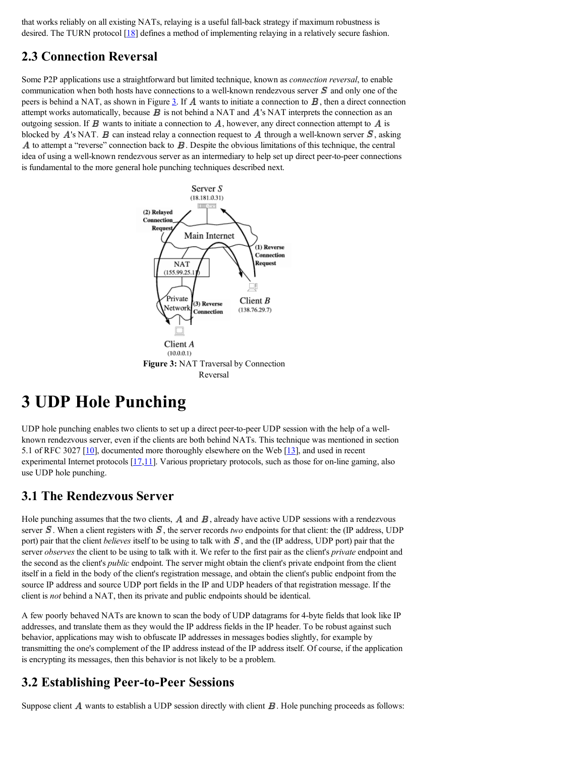that works reliably on all existing NATs, relaying is a useful fall-back strategy if maximum robustness is desired. The TURN protocol [18] defines a method of implementing relaying in a relatively secure fashion.

## **2.3 Connection Reversal**

Some P2P applications use a straightforward but limited technique, known as *connection reversal*, to enable communication when both hosts have connections to a well-known rendezvous server  $\bm{S}$  and only one of the peers is behind a NAT, as shown in Figure 3. If  $\vec{A}$  wants to initiate a connection to  $\vec{B}$ , then a direct connection attempt works automatically, because  $\vec{B}$  is not behind a NAT and  $\vec{A}$ 's NAT interprets the connection as an outgoing session. If  $\bm{B}$  wants to initiate a connection to  $\bm{A}$ , however, any direct connection attempt to  $\bm{A}$  is blocked by  $A$ 's NAT.  $B$  can instead relay a connection request to  $A$  through a well-known server  $S$ , asking A to attempt a "reverse" connection back to  $\vec{B}$ . Despite the obvious limitations of this technique, the central idea of using a well-known rendezvous server as an intermediary to help set up direct peer-to-peer connections is fundamental to the more general hole punching techniques described next.



# **3 UDP Hole Punching**

UDP hole punching enables two clients to set up a direct peer-to-peer UDP session with the help of a wellknown rendezvous server, even if the clients are both behind NATs. This technique was mentioned in section 5.1 of RFC 3027 [10], documented more thoroughly elsewhere on the Web [13], and used in recent experimental Internet protocols [17,11]. Various proprietary protocols, such as those for on-line gaming, also use UDP hole punching.

### **3.1 The Rendezvous Server**

Hole punching assumes that the two clients,  $\vec{A}$  and  $\vec{B}$ , already have active UDP sessions with a rendezvous server  $S$ . When a client registers with  $S$ , the server records *two* endpoints for that client: the (IP address, UDP port) pair that the client *believes* itself to be using to talk with  $S$ , and the (IP address, UDP port) pair that the server *observes* the client to be using to talk with it. We refer to the first pair as the client's *private* endpoint and the second as the client's *public* endpoint. The server might obtain the client's private endpoint from the client itself in a field in the body of the client's registration message, and obtain the client's public endpoint from the source IP address and source UDP port fields in the IP and UDP headers of that registration message. If the client is *not* behind a NAT, then its private and public endpoints should be identical.

A few poorly behaved NATs are known to scan the body of UDP datagrams for 4-byte fields that look like IP addresses, and translate them as they would the IP address fields in the IP header. To be robust against such behavior, applications may wish to obfuscate IP addresses in messages bodies slightly, for example by transmitting the one's complement of the IP address instead of the IP address itself. Of course, if the application is encrypting its messages, then this behavior is not likely to be a problem.

## **3.2 Establishing Peer-to-Peer Sessions**

Suppose client  $\vec{A}$  wants to establish a UDP session directly with client  $\vec{B}$ . Hole punching proceeds as follows: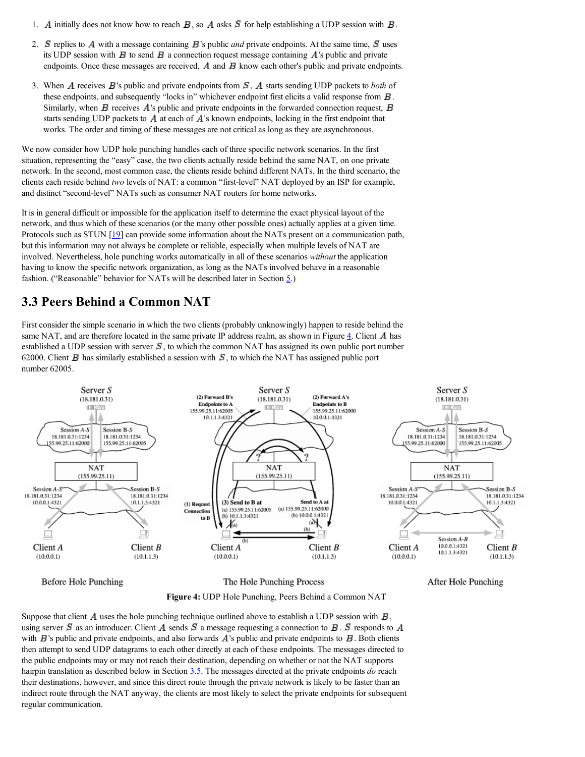- 1. A initially does not know how to reach  $\bf{B}$ , so A asks  $\bf{S}$  for help establishing a UDP session with  $\bf{B}$ .
- 2. **S** replies to A with a message containing  $\vec{B}$ 's public *and* private endpoints. At the same time,  $\vec{S}$  uses its UDP session with  $\bm{B}$  to send  $\bm{B}$  a connection request message containing  $\bm{A}$ 's public and private endpoints. Once these messages are received,  $\vec{A}$  and  $\vec{B}$  know each other's public and private endpoints.
- 3. When A receives  $\vec{B}$ 's public and private endpoints from  $\vec{S}$ , A starts sending UDP packets to *both* of these endpoints, and subsequently "locks in" whichever endpoint first elicits a valid response from  $\bm{B}$ . Similarly, when  $\bm{B}$  receives  $\bm{A}$ 's public and private endpoints in the forwarded connection request,  $\bm{B}$ starts sending UDP packets to  $\vec{A}$  at each of  $\vec{A}$ 's known endpoints, locking in the first endpoint that works. The order and timing of these messages are not critical as long as they are asynchronous.

We now consider how UDP hole punching handles each of three specific network scenarios. In the first situation, representing the "easy" case, the two clients actually reside behind the same NAT, on one private network. In the second, most common case, the clients reside behind different NATs. In the third scenario, the clients each reside behind *two* levels of NAT: a common "first-level" NAT deployed by an ISP for example, and distinct "second-level" NATs such as consumer NAT routers for home networks.

It is in general difficult or impossible for the application itself to determine the exact physical layout of the network, and thus which of these scenarios (or the many other possible ones) actually applies at a given time. Protocols such as STUN [19] can provide some information about the NATs present on a communication path, but this information may not always be complete or reliable, especially when multiple levels of NAT are involved. Nevertheless, hole punching works automatically in all of these scenarios *without* the application having to know the specific network organization, as long as the NATs involved behave in a reasonable fashion. ("Reasonable" behavior for NATs will be described later in Section 5.)

## **3.3 Peers Behind a Common NAT**

First consider the simple scenario in which the two clients (probably unknowingly) happen to reside behind the same NAT, and are therefore located in the same private IP address realm, as shown in Figure  $\frac{4}{3}$ . Client  $\vec{A}$  has established a UDP session with server  $\vec{S}$ , to which the common NAT has assigned its own public port number 62000. Client  $\bf{B}$  has similarly established a session with  $\bf{S}$ , to which the NAT has assigned public port number 62005.



**Before Hole Punching** 

The Hole Punching Process



Suppose that client  $\vec{A}$  uses the hole punching technique outlined above to establish a UDP session with  $\vec{B}$ , using server S as an introducer. Client A sends S a message requesting a connection to B. S responds to A with  $\bm{B}$ 's public and private endpoints, and also forwards  $\bm{A}$ 's public and private endpoints to  $\bm{B}$ . Both clients then attempt to send UDP datagrams to each other directly at each of these endpoints. The messages directed to the public endpoints may or may not reach their destination, depending on whether or not the NAT supports hairpin translation as described below in Section 3.5. The messages directed at the private endpoints *do* reach their destinations, however, and since this direct route through the private network is likely to be faster than an indirect route through the NAT anyway, the clients are most likely to select the private endpoints for subsequent regular communication.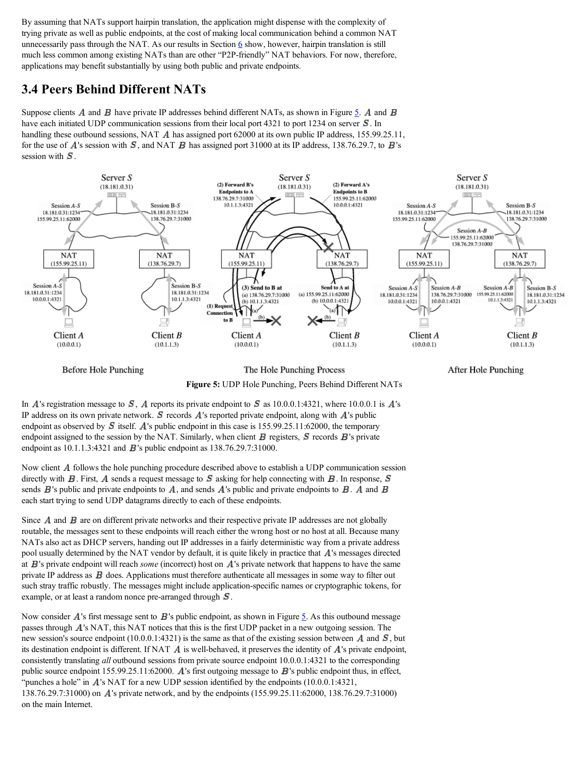By assuming that NATs support hairpin translation, the application might dispense with the complexity of trying private as well as public endpoints, at the cost of making local communication behind a common NAT unnecessarily pass through the NAT. As our results in Section  $6$  show, however, hairpin translation is still much less common among existing NATs than are other "P2P-friendly" NAT behaviors. For now, therefore, applications may benefit substantially by using both public and private endpoints.

### **3.4 Peers Behind Different NATs**

Suppose clients A and B have private IP addresses behind different NATs, as shown in Figure 5. A and B have each initiated UDP communication sessions from their local port 4321 to port 1234 on server  $\mathcal{S}$ . In handling these outbound sessions, NAT A has assigned port 62000 at its own public IP address, 155.99.25.11, for the use of A's session with  $\bm{S}$ , and NAT  $\bm{B}$  has assigned port 31000 at its IP address, 138.76.29.7, to  $\bm{B}$ 's session with  $S$ .



**Before Hole Punching** 

The Hole Punching Process



After Hole Punching



IP address on its own private network.  $S$  records  $A$ 's reported private endpoint, along with  $A$ 's public endpoint as observed by  $\boldsymbol{S}$  itself. A's public endpoint in this case is 155.99.25.11:62000, the temporary endpoint assigned to the session by the NAT. Similarly, when client  $\bf{B}$  registers,  $\bf{S}$  records  $\bf{B}$ 's private endpoint as  $10.1.1.3:4321$  and  $\bf{B}$ 's public endpoint as  $138.76.29.7:31000$ .

Now client  $A$  follows the hole punching procedure described above to establish a UDP communication session directly with  $\bm{B}$ . First,  $\bm{A}$  sends a request message to  $\bm{S}$  asking for help connecting with  $\bm{B}$ . In response,  $\bm{S}$ sends  $\vec{B}$ 's public and private endpoints to  $\vec{A}$ , and sends  $\vec{A}$ 's public and private endpoints to  $\vec{B}$ .  $\vec{A}$  and  $\vec{B}$ each start trying to send UDP datagrams directly to each of these endpoints.

Since  $\vec{A}$  and  $\vec{B}$  are on different private networks and their respective private IP addresses are not globally routable, the messages sent to these endpoints will reach either the wrong host or no host at all. Because many NATs also act as DHCP servers, handing out IP addresses in a fairly deterministic way from a private address pool usually determined by the NAT vendor by default, it is quite likely in practice that  $\Lambda$ 's messages directed at  $B$ 's private endpoint will reach *some* (incorrect) host on  $A$ 's private network that happens to have the same private IP address as  $\bf{B}$  does. Applications must therefore authenticate all messages in some way to filter out such stray traffic robustly. The messages might include application-specific names or cryptographic tokens, for example, or at least a random nonce pre-arranged through  $\bm{S}$ .

Now consider  $\vec{A}$ 's first message sent to  $\vec{B}$ 's public endpoint, as shown in Figure 5. As this outbound message passes through  $\vec{A}$ 's NAT, this NAT notices that this is the first UDP packet in a new outgoing session. The new session's source endpoint (10.0.0.1:4321) is the same as that of the existing session between A and  $\vec{S}$ , but its destination endpoint is different. If NAT  $\vec{A}$  is well-behaved, it preserves the identity of  $\vec{A}$ 's private endpoint, consistently translating *all* outbound sessions from private source endpoint 10.0.0.1:4321 to the corresponding public source endpoint  $155.99.25.11:62000$ . A's first outgoing message to  $\bf{B}$ 's public endpoint thus, in effect, "punches a hole" in  $\vec{A}$ 's NAT for a new UDP session identified by the endpoints (10.0.0.1:4321, 138.76.29.7:31000) on A's private network, and by the endpoints (155.99.25.11:62000, 138.76.29.7:31000) on the main Internet.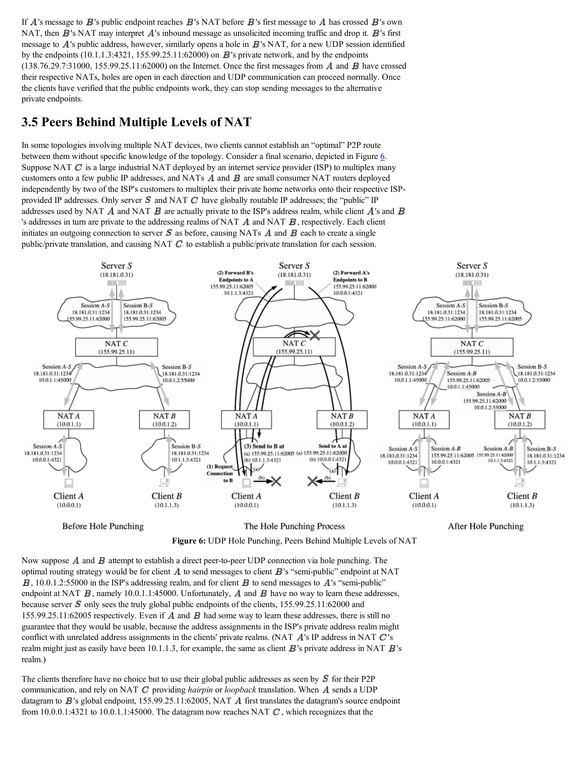If  $\vec{A}$ 's message to  $\vec{B}$ 's public endpoint reaches  $\vec{B}$ 's NAT before  $\vec{B}$ 's first message to  $\vec{A}$  has crossed  $\vec{B}$ 's own NAT, then  $B$ 's NAT may interpret  $A$ 's inbound message as unsolicited incoming traffic and drop it.  $B$ 's first message to  $\vec{A}$ 's public address, however, similarly opens a hole in  $\vec{B}$ 's NAT, for a new UDP session identified by the endpoints  $(10.1.1.3:4321, 155.99.25.11:62000)$  on  $\mathbf{B}$ 's private network, and by the endpoints  $(138.76.29.7:31000, 155.99.25.11:62000)$  on the Internet. Once the first messages from  $\vec{A}$  and  $\vec{B}$  have crossed their respective NATs, holes are open in each direction and UDP communication can proceed normally. Once the clients have verified that the public endpoints work, they can stop sending messages to the alternative private endpoints.

### **3.5 Peers Behind Multiple Levels of NAT**

In some topologies involving multiple NAT devices, two clients cannot establish an "optimal" P2P route between them without specific knowledge of the topology. Consider a final scenario, depicted in Figure 6. Suppose NAT  $\boldsymbol{C}$  is a large industrial NAT deployed by an internet service provider (ISP) to multiplex many customers onto a few public IP addresses, and NATs  $\vec{A}$  and  $\vec{B}$  are small consumer NAT routers deployed independently by two of the ISP's customers to multiplex their private home networks onto their respective ISPprovided IP addresses. Only server  $S$  and NAT  $C$  have globally routable IP addresses; the "public" IP addresses used by NAT  $\vec{A}$  and NAT  $\vec{B}$  are actually private to the ISP's address realm, while client  $\vec{A}$ 's and  $\vec{B}$ 's addresses in turn are private to the addressing realms of NAT  $\vec{A}$  and NAT  $\vec{B}$ , respectively. Each client initiates an outgoing connection to server  $S$  as before, causing NATs  $\vec{A}$  and  $\vec{B}$  each to create a single public/private translation, and causing NAT  $C$  to establish a public/private translation for each session.





Now suppose  $\vec{A}$  and  $\vec{B}$  attempt to establish a direct peer-to-peer UDP connection via hole punching. The optimal routing strategy would be for client  $\vec{A}$  to send messages to client  $\vec{B}$ 's "semi-public" endpoint at NAT  $\bm{B}$ , 10.0.1.2:55000 in the ISP's addressing realm, and for client  $\bm{B}$  to send messages to  $\bm{A}$ 's "semi-public" endpoint at NAT  $\bm{B}$ , namely 10.0.1.1:45000. Unfortunately,  $\bm{A}$  and  $\bm{B}$  have no way to learn these addresses, because server  $S$  only sees the truly global public endpoints of the clients, 155.99.25.11:62000 and 155.99.25.11:62005 respectively. Even if  $\vec{A}$  and  $\vec{B}$  had some way to learn these addresses, there is still no guarantee that they would be usable, because the address assignments in the ISP's private address realm might conflict with unrelated address assignments in the clients' private realms. (NAT  $\vec{A}$ 's IP address in NAT  $\vec{C}$ 's realm might just as easily have been 10.1.1.3, for example, the same as client  $\vec{B}$ 's private address in NAT  $\vec{B}$ 's realm.)

The clients therefore have no choice but to use their global public addresses as seen by  $\bm{S}$  for their P2P communication, and rely on NAT  $C$  providing *hairpin* or *loopback* translation. When  $\vec{A}$  sends a UDP datagram to  $B$ 's global endpoint, 155.99.25.11:62005, NAT  $\overline{A}$  first translates the datagram's source endpoint from 10.0.0.1:4321 to 10.0.1.1:45000. The datagram now reaches NAT  $\mathbf{C}$ , which recognizes that the

After Hole Punching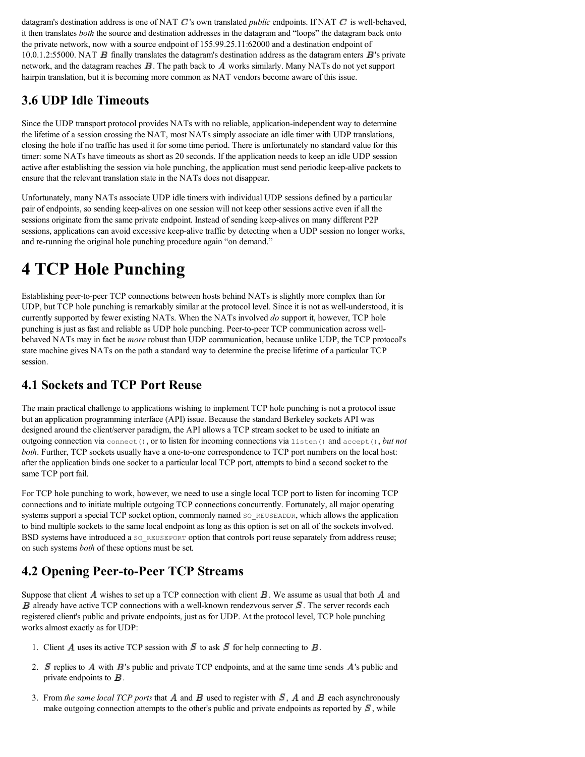datagram's destination address is one of NAT  $C$  's own translated *public* endpoints. If NAT  $C$  is well-behaved, it then translates *both* the source and destination addresses in the datagram and "loops" the datagram back onto the private network, now with a source endpoint of 155.99.25.11:62000 and a destination endpoint of  $10.0.1.2:55000$ . NAT  $\vec{B}$  finally translates the datagram's destination address as the datagram enters  $\vec{B}$ 's private network, and the datagram reaches  $\bf{B}$ . The path back to  $\bf{A}$  works similarly. Many NATs do not yet support hairpin translation, but it is becoming more common as NAT vendors become aware of this issue.

## **3.6 UDP Idle Timeouts**

Since the UDP transport protocol provides NATs with no reliable, application-independent way to determine the lifetime of a session crossing the NAT, most NATs simply associate an idle timer with UDP translations, closing the hole if no traffic has used it for some time period. There is unfortunately no standard value for this timer: some NATs have timeouts as short as 20 seconds. If the application needs to keep an idle UDP session active after establishing the session via hole punching, the application must send periodic keep-alive packets to ensure that the relevant translation state in the NATs does not disappear.

Unfortunately, many NATs associate UDP idle timers with individual UDP sessions defined by a particular pair of endpoints, so sending keep-alives on one session will not keep other sessions active even if all the sessions originate from the same private endpoint. Instead of sending keep-alives on many different P2P sessions, applications can avoid excessive keep-alive traffic by detecting when a UDP session no longer works, and re-running the original hole punching procedure again "on demand."

# **4 TCP Hole Punching**

Establishing peer-to-peer TCP connections between hosts behind NATs is slightly more complex than for UDP, but TCP hole punching is remarkably similar at the protocol level. Since it is not as well-understood, it is currently supported by fewer existing NATs. When the NATs involved *do* support it, however, TCP hole punching is just as fast and reliable as UDP hole punching. Peer-to-peer TCP communication across wellbehaved NATs may in fact be *more* robust than UDP communication, because unlike UDP, the TCP protocol's state machine gives NATs on the path a standard way to determine the precise lifetime of a particular TCP session.

## **4.1 Sockets and TCP Port Reuse**

The main practical challenge to applications wishing to implement TCP hole punching is not a protocol issue but an application programming interface (API) issue. Because the standard Berkeley sockets API was designed around the client/server paradigm, the API allows a TCP stream socket to be used to initiate an outgoing connection via connect(), or to listen for incoming connections via listen() and accept(), *but not both*. Further, TCP sockets usually have a one-to-one correspondence to TCP port numbers on the local host: after the application binds one socket to a particular local TCP port, attempts to bind a second socket to the same TCP port fail.

For TCP hole punching to work, however, we need to use a single local TCP port to listen for incoming TCP connections and to initiate multiple outgoing TCP connections concurrently. Fortunately, all major operating systems support a special TCP socket option, commonly named so REUSEADDR, which allows the application to bind multiple sockets to the same local endpoint as long as this option is set on all of the sockets involved. BSD systems have introduced a so\_REUSEPORT option that controls port reuse separately from address reuse; on such systems *both* of these options must be set.

## **4.2 Opening Peer-to-Peer TCP Streams**

Suppose that client  $\vec{A}$  wishes to set up a TCP connection with client  $\vec{B}$ . We assume as usual that both  $\vec{A}$  and  $\bm{B}$  already have active TCP connections with a well-known rendezvous server  $\bm{S}$ . The server records each registered client's public and private endpoints, just as for UDP. At the protocol level, TCP hole punching works almost exactly as for UDP:

- 1. Client A uses its active TCP session with  $S$  to ask  $S$  for help connecting to  $B$ .
- 2.  $S$  replies to  $A$  with  $B$ 's public and private TCP endpoints, and at the same time sends  $A$ 's public and private endpoints to  $\boldsymbol{B}$ .
- 3. From *the same local TCP ports* that  $\vec{A}$  and  $\vec{B}$  used to register with  $\vec{S}$ ,  $\vec{A}$  and  $\vec{B}$  each asynchronously make outgoing connection attempts to the other's public and private endpoints as reported by  $\mathcal{S}$ , while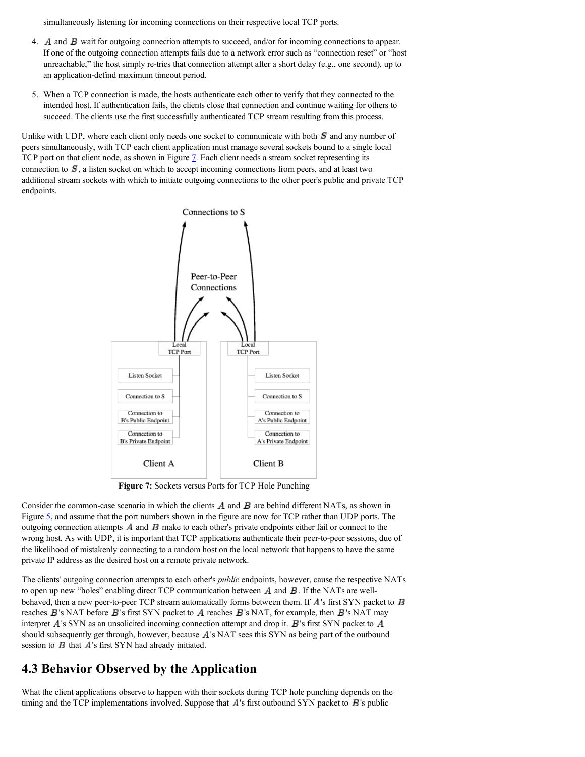simultaneously listening for incoming connections on their respective local TCP ports.

- 4. A and B wait for outgoing connection attempts to succeed, and/or for incoming connections to appear. If one of the outgoing connection attempts fails due to a network error such as "connection reset" or "host unreachable," the host simply re-tries that connection attempt after a short delay (e.g., one second), up to an application-defind maximum timeout period.
- 5. When a TCP connection is made, the hosts authenticate each other to verify that they connected to the intended host. If authentication fails, the clients close that connection and continue waiting for others to succeed. The clients use the first successfully authenticated TCP stream resulting from this process.

Unlike with UDP, where each client only needs one socket to communicate with both  $S$  and any number of peers simultaneously, with TCP each client application must manage several sockets bound to a single local TCP port on that client node, as shown in Figure  $\overline{1}$ . Each client needs a stream socket representing its connection to  $S$ , a listen socket on which to accept incoming connections from peers, and at least two additional stream sockets with which to initiate outgoing connections to the other peer's public and private TCP endpoints.



**Figure 7:** Sockets versus Ports for TCP Hole Punching

Consider the common-case scenario in which the clients  $\vec{A}$  and  $\vec{B}$  are behind different NATs, as shown in Figure  $\frac{5}{2}$ , and assume that the port numbers shown in the figure are now for TCP rather than UDP ports. The outgoing connection attempts  $\vec{A}$  and  $\vec{B}$  make to each other's private endpoints either fail or connect to the wrong host. As with UDP, it is important that TCP applications authenticate their peer-to-peer sessions, due of the likelihood of mistakenly connecting to a random host on the local network that happens to have the same private IP address as the desired host on a remote private network.

The clients' outgoing connection attempts to each other's *public* endpoints, however, cause the respective NATs to open up new "holes" enabling direct TCP communication between  $\vec{A}$  and  $\vec{B}$ . If the NATs are wellbehaved, then a new peer-to-peer TCP stream automatically forms between them. If  $\vec{A}$ 's first SYN packet to  $\vec{B}$ reaches  $\vec{B}$ 's NAT before  $\vec{B}$ 's first SYN packet to  $\vec{A}$  reaches  $\vec{B}$ 's NAT, for example, then  $\vec{B}$ 's NAT may interpret  $\vec{A}$ 's SYN as an unsolicited incoming connection attempt and drop it.  $\vec{B}$ 's first SYN packet to  $\vec{A}$ should subsequently get through, however, because A's NAT sees this SYN as being part of the outbound session to  $B$  that  $A$ 's first SYN had already initiated.

### **4.3 Behavior Observed by the Application**

What the client applications observe to happen with their sockets during TCP hole punching depends on the timing and the TCP implementations involved. Suppose that  $A$ 's first outbound SYN packet to  $B$ 's public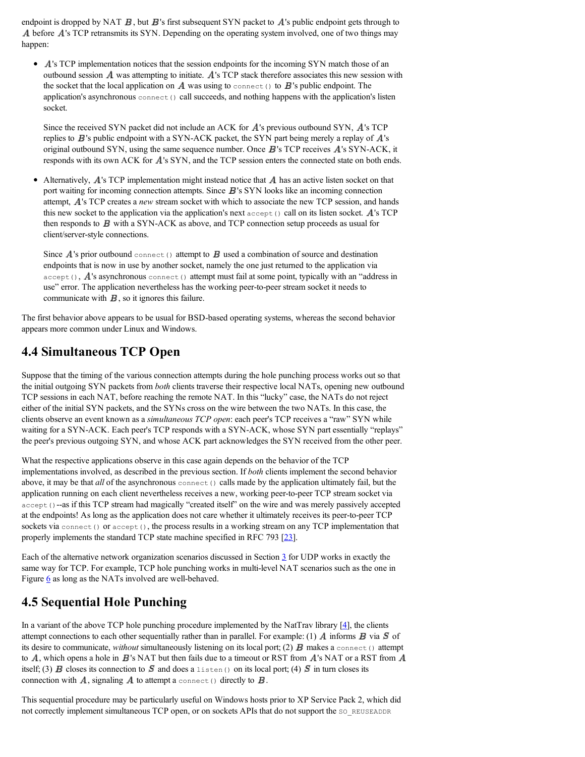endpoint is dropped by NAT  $\vec{B}$ , but  $\vec{B}$ 's first subsequent SYN packet to  $\vec{A}$ 's public endpoint gets through to A before A's TCP retransmits its SYN. Depending on the operating system involved, one of two things may happen:

• A's TCP implementation notices that the session endpoints for the incoming SYN match those of an outbound session  $\vec{A}$  was attempting to initiate.  $\vec{A}$ 's TCP stack therefore associates this new session with the socket that the local application on  $\vec{A}$  was using to connect() to  $\vec{B}$ 's public endpoint. The application's asynchronous  $\varsigma$ <sub>onnect</sub>() call succeeds, and nothing happens with the application's listen socket.

Since the received SYN packet did not include an ACK for  $A$ 's previous outbound SYN,  $A$ 's TCP replies to  $\vec{B}$ 's public endpoint with a SYN-ACK packet, the SYN part being merely a replay of  $\vec{A}$ 's original outbound SYN, using the same sequence number. Once  $\bf{B}$ 's TCP receives  $\bf{A}$ 's SYN-ACK, it responds with its own ACK for  $A$ 's SYN, and the TCP session enters the connected state on both ends.

• Alternatively,  $\vec{A}$ 's TCP implementation might instead notice that  $\vec{A}$  has an active listen socket on that port waiting for incoming connection attempts. Since  $\bf{B}$ 's SYN looks like an incoming connection attempt,  $\vec{A}$ 's TCP creates a *new* stream socket with which to associate the new TCP session, and hands this new socket to the application via the application's next  $\alpha$  accept() call on its listen socket. A's TCP then responds to  $B$  with a SYN-ACK as above, and TCP connection setup proceeds as usual for client/server-style connections.

Since  $\vec{A}$ 's prior outbound connect() attempt to  $\vec{B}$  used a combination of source and destination endpoints that is now in use by another socket, namely the one just returned to the application via  $accept()$ ,  $\vec{A}$ 's asynchronous connect() attempt must fail at some point, typically with an "address in use" error. The application nevertheless has the working peer-to-peer stream socket it needs to communicate with  $\boldsymbol{B}$ , so it ignores this failure.

The first behavior above appears to be usual for BSD-based operating systems, whereas the second behavior appears more common under Linux and Windows.

## **4.4 Simultaneous TCP Open**

Suppose that the timing of the various connection attempts during the hole punching process works out so that the initial outgoing SYN packets from *both* clients traverse their respective local NATs, opening new outbound TCP sessions in each NAT, before reaching the remote NAT. In this "lucky" case, the NATs do not reject either of the initial SYN packets, and the SYNs cross on the wire between the two NATs. In this case, the clients observe an event known as a *simultaneous TCP open*: each peer's TCP receives a "raw" SYN while waiting for a SYN-ACK. Each peer's TCP responds with a SYN-ACK, whose SYN part essentially "replays" the peer's previous outgoing SYN, and whose ACK part acknowledges the SYN received from the other peer.

What the respective applications observe in this case again depends on the behavior of the TCP implementations involved, as described in the previous section. If *both* clients implement the second behavior above, it may be that *all* of the asynchronous connect () calls made by the application ultimately fail, but the application running on each client nevertheless receives a new, working peer-to-peer TCP stream socket via accept ()-as if this TCP stream had magically "created itself" on the wire and was merely passively accepted at the endpoints! As long as the application does not care whether it ultimately receives its peer-to-peer TCP sockets via connect() or  $accept()$ , the process results in a working stream on any TCP implementation that properly implements the standard TCP state machine specified in RFC 793 [23].

Each of the alternative network organization scenarios discussed in Section  $\frac{3}{2}$  for UDP works in exactly the same way for TCP. For example, TCP hole punching works in multi-level NAT scenarios such as the one in Figure 6 as long as the NATs involved are well-behaved.

## **4.5 Sequential Hole Punching**

In a variant of the above TCP hole punching procedure implemented by the NatTrav library  $[4]$ , the clients attempt connections to each other sequentially rather than in parallel. For example: (1)  $\vec{A}$  informs  $\vec{B}$  via  $\vec{S}$  of its desire to communicate, *without* simultaneously listening on its local port; (2) **B** makes a connect () attempt to  $A$ , which opens a hole in  $B$ 's NAT but then fails due to a timeout or RST from  $A$ 's NAT or a RST from  $A$ itself; (3) **B** closes its connection to **S** and does a listen() on its local port; (4) **S** in turn closes its connection with  $\vec{A}$ , signaling  $\vec{A}$  to attempt a connect () directly to  $\vec{B}$ .

This sequential procedure may be particularly useful on Windows hosts prior to XP Service Pack 2, which did not correctly implement simultaneous TCP open, or on sockets APIs that do not support the so REUSEADDR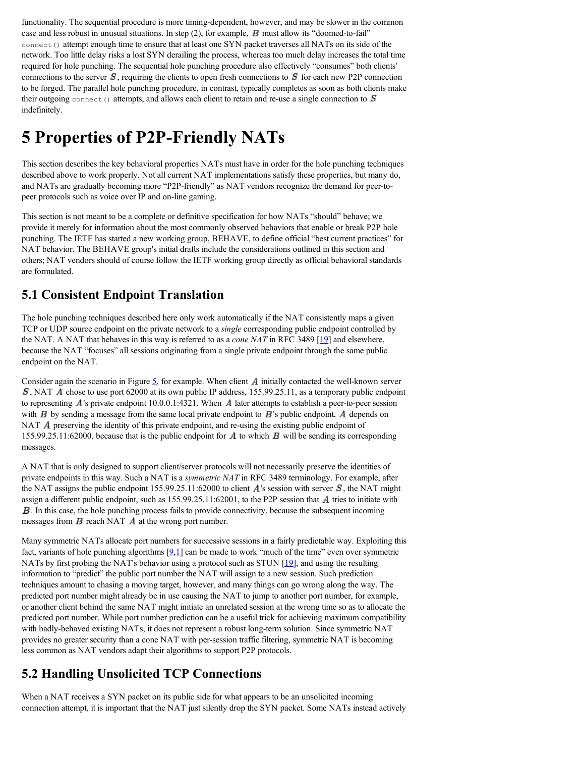functionality. The sequential procedure is more timing-dependent, however, and may be slower in the common case and less robust in unusual situations. In step  $(2)$ , for example, **B** must allow its "doomed-to-fail" connect () attempt enough time to ensure that at least one SYN packet traverses all NATs on its side of the network. Too little delay risks a lost SYN derailing the process, whereas too much delay increases the total time required for hole punching. The sequential hole punching procedure also effectively "consumes" both clients' connections to the server  $S$ , requiring the clients to open fresh connections to  $S$  for each new P2P connection to be forged. The parallel hole punching procedure, in contrast, typically completes as soon as both clients make their outgoing connect() attempts, and allows each client to retain and re-use a single connection to  $\mathcal S$ indefinitely.

# **5 Properties of P2P-Friendly NATs**

This section describes the key behavioral properties NATs must have in order for the hole punching techniques described above to work properly. Not all current NAT implementations satisfy these properties, but many do, and NATs are gradually becoming more "P2P-friendly" as NAT vendors recognize the demand for peer-topeer protocols such as voice over IP and on-line gaming.

This section is not meant to be a complete or definitive specification for how NATs "should" behave; we provide it merely for information about the most commonly observed behaviors that enable or break P2P hole punching. The IETF has started a new working group, BEHAVE, to define official "best current practices" for NAT behavior. The BEHAVE group's initial drafts include the considerations outlined in this section and others; NAT vendors should of course follow the IETF working group directly as official behavioral standards are formulated.

### **5.1 Consistent Endpoint Translation**

The hole punching techniques described here only work automatically if the NAT consistently maps a given TCP or UDP source endpoint on the private network to a *single* corresponding public endpoint controlled by the NAT. A NAT that behaves in this way is referred to as a *cone NAT* in RFC 3489 [19] and elsewhere, because the NAT "focuses" all sessions originating from a single private endpoint through the same public endpoint on the NAT.

Consider again the scenario in Figure  $\frac{5}{2}$ , for example. When client A initially contacted the well-known server  $S$ , NAT  $\hat{A}$  chose to use port 62000 at its own public IP address, 155.99.25.11, as a temporary public endpoint to representing  $\vec{A}$ 's private endpoint 10.0.0.1:4321. When  $\vec{A}$  later attempts to establish a peer-to-peer session with  $\bm{B}$  by sending a message from the same local private endpoint to  $\bm{B}$ 's public endpoint,  $\bm{A}$  depends on NAT  $\vec{A}$  preserving the identity of this private endpoint, and re-using the existing public endpoint of 155.99.25.11:62000, because that is the public endpoint for  $\vec{A}$  to which  $\vec{B}$  will be sending its corresponding messages.

A NAT that is only designed to support client/server protocols will not necessarily preserve the identities of private endpoints in this way. Such a NAT is a *symmetric NAT* in RFC 3489 terminology. For example, after the NAT assigns the public endpoint  $155.99.25.11:62000$  to client  $\vec{A}$ 's session with server  $\vec{S}$ , the NAT might assign a different public endpoint, such as  $155.99.25.11:62001$ , to the P2P session that A tries to initiate with . In this case, the hole punching process fails to provide connectivity, because the subsequent incoming messages from  $\bf{B}$  reach NAT  $\bf{A}$  at the wrong port number.

Many symmetric NATs allocate port numbers for successive sessions in a fairly predictable way. Exploiting this fact, variants of hole punching algorithms  $[9,1]$  can be made to work "much of the time" even over symmetric NATs by first probing the NAT's behavior using a protocol such as STUN  $[19]$ , and using the resulting information to "predict" the public port number the NAT will assign to a new session. Such prediction techniques amount to chasing a moving target, however, and many things can go wrong along the way. The predicted port number might already be in use causing the NAT to jump to another port number, for example, or another client behind the same NAT might initiate an unrelated session at the wrong time so as to allocate the predicted port number. While port number prediction can be a useful trick for achieving maximum compatibility with badly-behaved existing NATs, it does not represent a robust long-term solution. Since symmetric NAT provides no greater security than a cone NAT with per-session traffic filtering, symmetric NAT is becoming less common as NAT vendors adapt their algorithms to support P2P protocols.

## **5.2 Handling Unsolicited TCP Connections**

When a NAT receives a SYN packet on its public side for what appears to be an unsolicited incoming connection attempt, it is important that the NAT just silently drop the SYN packet. Some NATs instead actively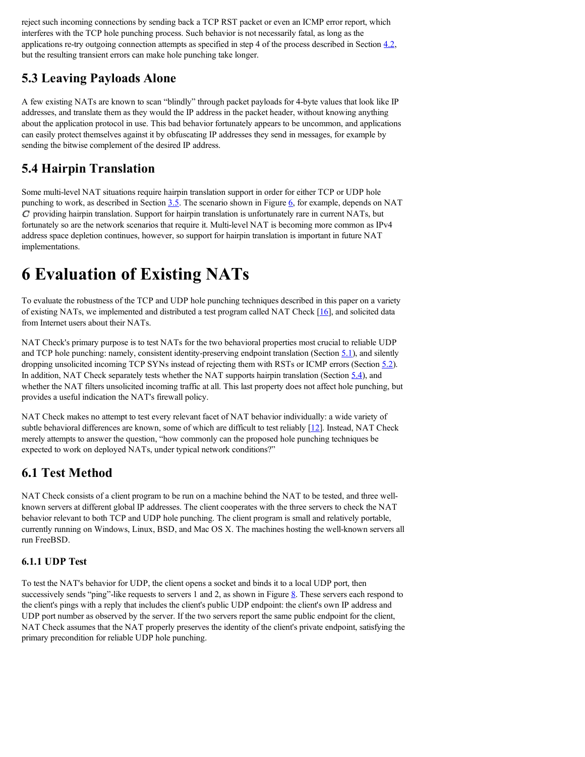reject such incoming connections by sending back a TCP RST packet or even an ICMP error report, which interferes with the TCP hole punching process. Such behavior is not necessarily fatal, as long as the applications re-try outgoing connection attempts as specified in step 4 of the process described in Section  $4.2$ , but the resulting transient errors can make hole punching take longer.

## **5.3 Leaving Payloads Alone**

A few existing NATs are known to scan "blindly" through packet payloads for 4-byte values that look like IP addresses, and translate them as they would the IP address in the packet header, without knowing anything about the application protocol in use. This bad behavior fortunately appears to be uncommon, and applications can easily protect themselves against it by obfuscating IP addresses they send in messages, for example by sending the bitwise complement of the desired IP address.

## **5.4 Hairpin Translation**

Some multi-level NAT situations require hairpin translation support in order for either TCP or UDP hole punching to work, as described in Section  $3.5$ . The scenario shown in Figure 6, for example, depends on NAT  $C$  providing hairpin translation. Support for hairpin translation is unfortunately rare in current NATs, but fortunately so are the network scenarios that require it. Multi-level NAT is becoming more common as IPv4 address space depletion continues, however, so support for hairpin translation is important in future NAT implementations.

# **6 Evaluation of Existing NATs**

To evaluate the robustness of the TCP and UDP hole punching techniques described in this paper on a variety of existing NATs, we implemented and distributed a test program called NAT Check [16], and solicited data from Internet users about their NATs.

NAT Check's primary purpose is to test NATs for the two behavioral properties most crucial to reliable UDP and TCP hole punching: namely, consistent identity-preserving endpoint translation (Section 5.1), and silently dropping unsolicited incoming TCP SYNs instead of rejecting them with RSTs or ICMP errors (Section 5.2). In addition, NAT Check separately tests whether the NAT supports hairpin translation (Section  $\frac{5.4}{2}$ ), and whether the NAT filters unsolicited incoming traffic at all. This last property does not affect hole punching, but provides a useful indication the NAT's firewall policy.

NAT Check makes no attempt to test every relevant facet of NAT behavior individually: a wide variety of subtle behavioral differences are known, some of which are difficult to test reliably [12]. Instead, NAT Check merely attempts to answer the question, "how commonly can the proposed hole punching techniques be expected to work on deployed NATs, under typical network conditions?"

## **6.1 Test Method**

NAT Check consists of a client program to be run on a machine behind the NAT to be tested, and three wellknown servers at different global IP addresses. The client cooperates with the three servers to check the NAT behavior relevant to both TCP and UDP hole punching. The client program is small and relatively portable, currently running on Windows, Linux, BSD, and Mac OS X. The machines hosting the well-known servers all run FreeBSD.

### **6.1.1 UDP Test**

To test the NAT's behavior for UDP, the client opens a socket and binds it to a local UDP port, then successively sends "ping"-like requests to servers 1 and 2, as shown in Figure  $8$ . These servers each respond to the client's pings with a reply that includes the client's public UDP endpoint: the client's own IP address and UDP port number as observed by the server. If the two servers report the same public endpoint for the client, NAT Check assumes that the NAT properly preserves the identity of the client's private endpoint, satisfying the primary precondition for reliable UDP hole punching.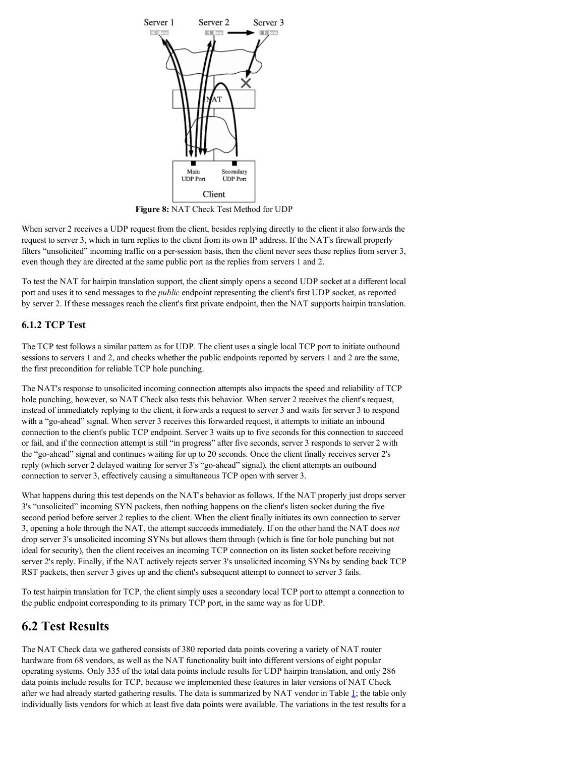

**Figure 8:** NAT Check Test Method for UDP

When server 2 receives a UDP request from the client, besides replying directly to the client it also forwards the request to server 3, which in turn replies to the client from its own IP address. If the NAT's firewall properly filters "unsolicited" incoming traffic on a per-session basis, then the client never sees these replies from server 3, even though they are directed at the same public port as the replies from servers 1 and 2.

To test the NAT for hairpin translation support, the client simply opens a second UDP socket at a different local port and uses it to send messages to the *public* endpoint representing the client's first UDP socket, as reported by server 2. If these messages reach the client's first private endpoint, then the NAT supports hairpin translation.

### **6.1.2 TCP Test**

The TCP test follows a similar pattern as for UDP. The client uses a single local TCP port to initiate outbound sessions to servers 1 and 2, and checks whether the public endpoints reported by servers 1 and 2 are the same, the first precondition for reliable TCP hole punching.

The NAT's response to unsolicited incoming connection attempts also impacts the speed and reliability of TCP hole punching, however, so NAT Check also tests this behavior. When server 2 receives the client's request, instead of immediately replying to the client, it forwards a request to server 3 and waits for server 3 to respond with a "go-ahead" signal. When server 3 receives this forwarded request, it attempts to initiate an inbound connection to the client's public TCP endpoint. Server 3 waits up to five seconds for this connection to succeed or fail, and if the connection attempt is still "in progress" after five seconds, server 3 responds to server 2 with the "go-ahead" signal and continues waiting for up to 20 seconds. Once the client finally receives server 2's reply (which server 2 delayed waiting for server 3's "go-ahead" signal), the client attempts an outbound connection to server 3, effectively causing a simultaneous TCP open with server 3.

What happens during this test depends on the NAT's behavior as follows. If the NAT properly just drops server 3's "unsolicited" incoming SYN packets, then nothing happens on the client's listen socket during the five second period before server 2 replies to the client. When the client finally initiates its own connection to server 3, opening a hole through the NAT, the attempt succeeds immediately. If on the other hand the NAT does *not* drop server 3's unsolicited incoming SYNs but allows them through (which is fine for hole punching but not ideal for security), then the client receives an incoming TCP connection on its listen socket before receiving server 2's reply. Finally, if the NAT actively rejects server 3's unsolicited incoming SYNs by sending back TCP RST packets, then server 3 gives up and the client's subsequent attempt to connect to server 3 fails.

To test hairpin translation for TCP, the client simply uses a secondary local TCP port to attempt a connection to the public endpoint corresponding to its primary TCP port, in the same way as for UDP.

### **6.2 Test Results**

The NAT Check data we gathered consists of 380 reported data points covering a variety of NAT router hardware from 68 vendors, as well as the NAT functionality built into different versions of eight popular operating systems. Only 335 of the total data points include results for UDP hairpin translation, and only 286 data points include results for TCP, because we implemented these features in later versions of NAT Check after we had already started gathering results. The data is summarized by NAT vendor in Table  $\perp$ ; the table only individually lists vendors for which at least five data points were available. The variations in the test results for a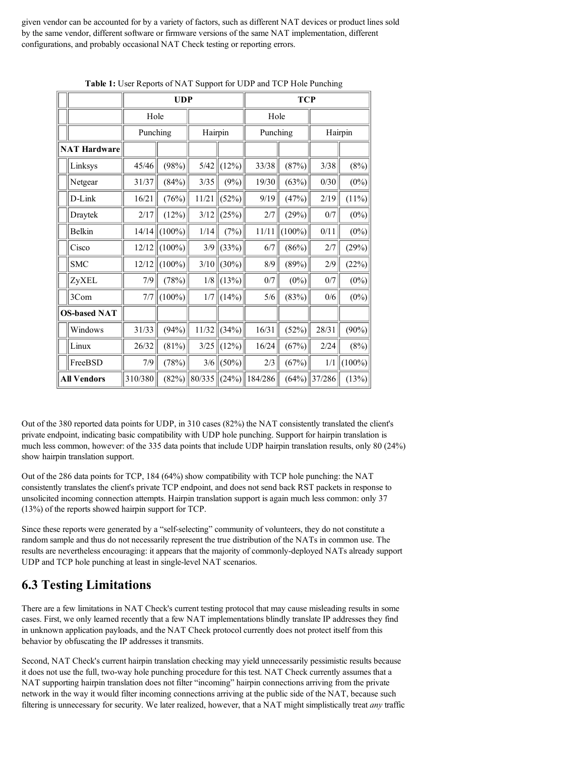given vendor can be accounted for by a variety of factors, such as different NAT devices or product lines sold by the same vendor, different software or firmware versions of the same NAT implementation, different configurations, and probably occasional NAT Check testing or reporting errors.

|                     |            | <b>UDP</b> |           |         |       | <b>TCP</b> |           |         |           |
|---------------------|------------|------------|-----------|---------|-------|------------|-----------|---------|-----------|
|                     |            | Hole       |           |         |       | Hole       |           |         |           |
|                     |            | Punching   |           | Hairpin |       | Punching   |           | Hairpin |           |
| <b>NAT Hardware</b> |            |            |           |         |       |            |           |         |           |
|                     | Linksys    | 45/46      | (98%)     | 5/42    | (12%) | 33/38      | (87%)     | 3/38    | (8%)      |
|                     | Netgear    | 31/37      | (84%)     | $3/35$  | (9%)  | 19/30      | (63%)     | $0/30$  | $(0\%)$   |
|                     | D-Link     | 16/21      | (76%)     | 11/21   | (52%) | 9/19       | (47%)     | 2/19    | (11%)     |
|                     | Draytek    | 2/17       | (12%)     | 3/12    | (25%) | 2/7        | (29%)     | $0/7$   | $(0\%)$   |
|                     | Belkin     | 14/14      | $(100\%)$ | 1/14    | (7%)  | 11/11      | $(100\%)$ | 0/11    | $(0\%)$   |
|                     | Cisco      | 12/12      | $(100\%)$ | 3/9     | (33%) | 6/7        | (86%)     | $2/7$   | (29%)     |
|                     | <b>SMC</b> | 12/12      | $(100\%)$ | $3/10$  | (30%) | 8/9        | (89%)     | 2/9     | (22%)     |
|                     | ZyXEL      | 7/9        | (78%)     | 1/8     | (13%) | 0/7        | $(0\%)$   | $0/7$   | $(0\%)$   |
|                     | 3Com       | 7/7        | $(100\%)$ | 1/7     | (14%) | 5/6        | (83%)     | $0/6$   | $(0\%)$   |
| <b>OS-based NAT</b> |            |            |           |         |       |            |           |         |           |
|                     | Windows    | 31/33      | (94%)     | 11/32   | (34%) | 16/31      | (52%)     | 28/31   | $(90\%)$  |
|                     | Linux      | 26/32      | (81%)     | $3/25$  | (12%) | 16/24      | (67%)     | 2/24    | (8%)      |
|                     | FreeBSD    | 7/9        | (78%)     | 3/6     | (50%) | $2/3$      | (67%)     | 1/1     | $(100\%)$ |
| <b>All Vendors</b>  |            | 310/380    | (82%)     | 80/335  | (24%) | 184/286    | (64%)     | 37/286  | (13%)     |

**Table 1:** User Reports of NAT Support for UDP and TCP Hole Punching

Out of the 380 reported data points for UDP, in 310 cases (82%) the NAT consistently translated the client's private endpoint, indicating basic compatibility with UDP hole punching. Support for hairpin translation is much less common, however: of the 335 data points that include UDP hairpin translation results, only 80 (24%) show hairpin translation support.

Out of the 286 data points for TCP, 184 (64%) show compatibility with TCP hole punching: the NAT consistently translates the client's private TCP endpoint, and does not send back RST packets in response to unsolicited incoming connection attempts. Hairpin translation support is again much less common: only 37 (13%) of the reports showed hairpin support for TCP.

Since these reports were generated by a "self-selecting" community of volunteers, they do not constitute a random sample and thus do not necessarily represent the true distribution of the NATs in common use. The results are nevertheless encouraging: it appears that the majority of commonly-deployed NATs already support UDP and TCP hole punching at least in single-level NAT scenarios.

## **6.3 Testing Limitations**

There are a few limitations in NAT Check's current testing protocol that may cause misleading results in some cases. First, we only learned recently that a few NAT implementations blindly translate IP addresses they find in unknown application payloads, and the NAT Check protocol currently does not protect itself from this behavior by obfuscating the IP addresses it transmits.

Second, NAT Check's current hairpin translation checking may yield unnecessarily pessimistic results because it does not use the full, two-way hole punching procedure for this test. NAT Check currently assumes that a NAT supporting hairpin translation does not filter "incoming" hairpin connections arriving from the private network in the way it would filter incoming connections arriving at the public side of the NAT, because such filtering is unnecessary for security. We later realized, however, that a NAT might simplistically treat *any* traffic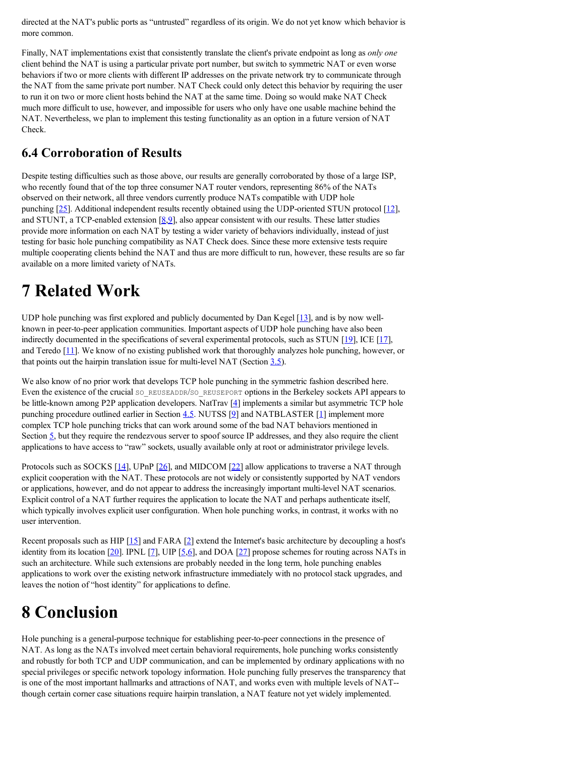directed at the NAT's public ports as "untrusted" regardless of its origin. We do not yet know which behavior is more common.

Finally, NAT implementations exist that consistently translate the client's private endpoint as long as *only one* client behind the NAT is using a particular private port number, but switch to symmetric NAT or even worse behaviors if two or more clients with different IP addresses on the private network try to communicate through the NAT from the same private port number. NAT Check could only detect this behavior by requiring the user to run it on two or more client hosts behind the NAT at the same time. Doing so would make NAT Check much more difficult to use, however, and impossible for users who only have one usable machine behind the NAT. Nevertheless, we plan to implement this testing functionality as an option in a future version of NAT Check.

### **6.4 Corroboration of Results**

Despite testing difficulties such as those above, our results are generally corroborated by those of a large ISP, who recently found that of the top three consumer NAT router vendors, representing 86% of the NATs observed on their network, all three vendors currently produce NATs compatible with UDP hole punching  $[25]$ . Additional independent results recently obtained using the UDP-oriented STUN protocol  $[12]$ , and STUNT, a TCP-enabled extension  $[8,9]$ , also appear consistent with our results. These latter studies provide more information on each NAT by testing a wider variety of behaviors individually, instead of just testing for basic hole punching compatibility as NAT Check does. Since these more extensive tests require multiple cooperating clients behind the NAT and thus are more difficult to run, however, these results are so far available on a more limited variety of NATs.

# **7 Related Work**

UDP hole punching was first explored and publicly documented by Dan Kegel [13], and is by now wellknown in peer-to-peer application communities. Important aspects of UDP hole punching have also been indirectly documented in the specifications of several experimental protocols, such as STUN [19], ICE [17], and Teredo [11]. We know of no existing published work that thoroughly analyzes hole punching, however, or that points out the hairpin translation issue for multi-level NAT (Section 3.5).

We also know of no prior work that develops TCP hole punching in the symmetric fashion described here. Even the existence of the crucial so REUSEADDR/SO\_REUSEPORT options in the Berkeley sockets API appears to be little-known among P2P application developers. NatTrav [4] implements a similar but asymmetric TCP hole punching procedure outlined earlier in Section  $4.5$ . NUTSS [ $2$ ] and NATBLASTER [1] implement more complex TCP hole punching tricks that can work around some of the bad NAT behaviors mentioned in Section  $\frac{5}{2}$ , but they require the rendezvous server to spoof source IP addresses, and they also require the client applications to have access to "raw" sockets, usually available only at root or administrator privilege levels.

Protocols such as SOCKS [14], UPnP [26], and MIDCOM [22] allow applications to traverse a NAT through explicit cooperation with the NAT. These protocols are not widely or consistently supported by NAT vendors or applications, however, and do not appear to address the increasingly important multi-level NAT scenarios. Explicit control of a NAT further requires the application to locate the NAT and perhaps authenticate itself, which typically involves explicit user configuration. When hole punching works, in contrast, it works with no user intervention.

Recent proposals such as HIP  $[15]$  and FARA  $[2]$  extend the Internet's basic architecture by decoupling a host's identity from its location  $[20]$ . IPNL  $[7]$ , UIP  $[5,6]$ , and DOA  $[27]$  propose schemes for routing across NATs in such an architecture. While such extensions are probably needed in the long term, hole punching enables applications to work over the existing network infrastructure immediately with no protocol stack upgrades, and leaves the notion of "host identity" for applications to define.

# **8 Conclusion**

Hole punching is a general-purpose technique for establishing peer-to-peer connections in the presence of NAT. As long as the NATs involved meet certain behavioral requirements, hole punching works consistently and robustly for both TCP and UDP communication, and can be implemented by ordinary applications with no special privileges or specific network topology information. Hole punching fully preserves the transparency that is one of the most important hallmarks and attractions of NAT, and works even with multiple levels of NAT- though certain corner case situations require hairpin translation, a NAT feature not yet widely implemented.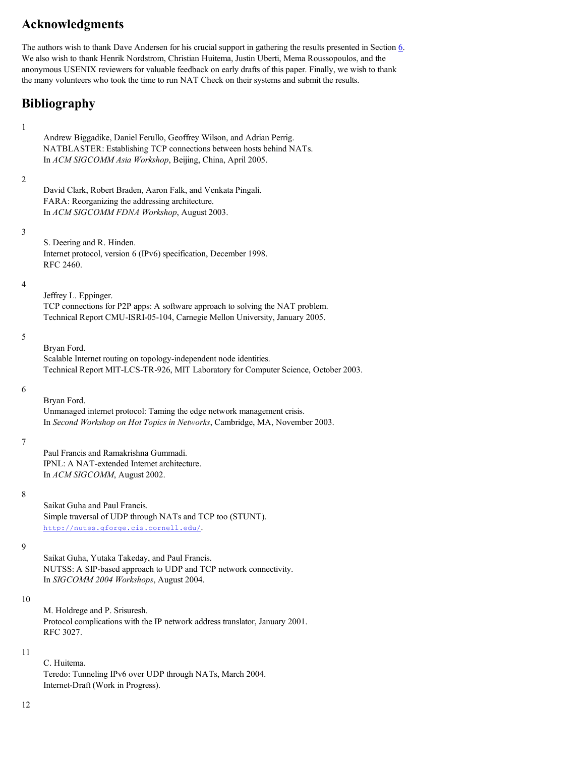## **Acknowledgments**

The authors wish to thank Dave Andersen for his crucial support in gathering the results presented in Section 6. We also wish to thank Henrik Nordstrom, Christian Huitema, Justin Uberti, Mema Roussopoulos, and the anonymous USENIX reviewers for valuable feedback on early drafts of this paper. Finally, we wish to thank the many volunteers who took the time to run NAT Check on their systems and submit the results.

## **Bibliography**

## 1

2

3

4

5

6

7

Andrew Biggadike, Daniel Ferullo, Geoffrey Wilson, and Adrian Perrig. NATBLASTER: Establishing TCP connections between hosts behind NATs. In *ACM SIGCOMM Asia Workshop*, Beijing, China, April 2005. David Clark, Robert Braden, Aaron Falk, and Venkata Pingali. FARA: Reorganizing the addressing architecture. In *ACM SIGCOMM FDNA Workshop*, August 2003. S. Deering and R. Hinden. Internet protocol, version 6 (IPv6) specification, December 1998. RFC 2460. Jeffrey L. Eppinger. TCP connections for P2P apps: A software approach to solving the NAT problem. Technical Report CMU-ISRI-05-104, Carnegie Mellon University, January 2005. Bryan Ford. Scalable Internet routing on topology-independent node identities. Technical Report MIT-LCS-TR-926, MIT Laboratory for Computer Science, October 2003. Bryan Ford. Unmanaged internet protocol: Taming the edge network management crisis. In *Second Workshop on Hot Topics in Networks*, Cambridge, MA, November 2003. Paul Francis and Ramakrishna Gummadi. IPNL: A NAT-extended Internet architecture.

In *ACM SIGCOMM*, August 2002.

8

Saikat Guha and Paul Francis. Simple traversal of UDP through NATs and TCP too (STUNT). http://nutss.gforge.cis.cornell.edu/.

9

Saikat Guha, Yutaka Takeday, and Paul Francis. NUTSS: A SIP-based approach to UDP and TCP network connectivity. In *SIGCOMM 2004 Workshops*, August 2004.

10

M. Holdrege and P. Srisuresh. Protocol complications with the IP network address translator, January 2001. RFC 3027.

### 11

C. Huitema. Teredo: Tunneling IPv6 over UDP through NATs, March 2004. Internet-Draft (Work in Progress).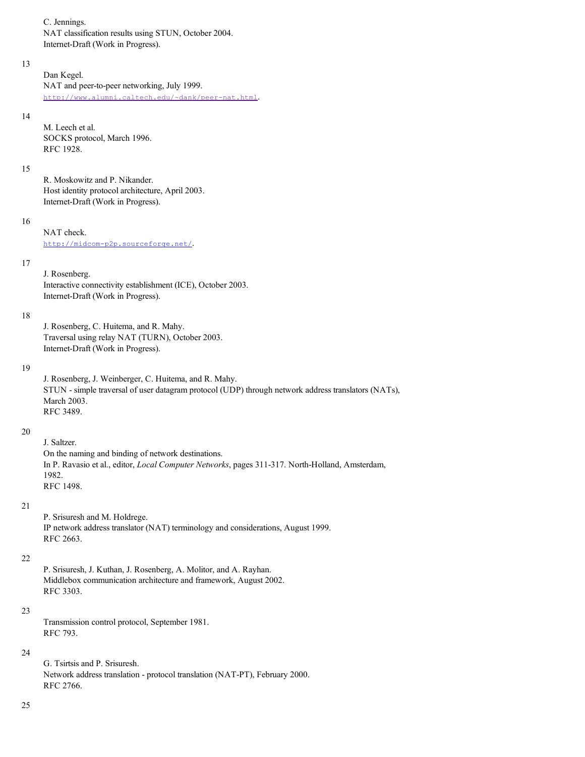C. Jennings.

NAT classification results using STUN, October 2004. Internet-Draft (Work in Progress).

### 13

Dan Kegel. NAT and peer-to-peer networking, July 1999. http://www.alumni.caltech.edu/~dank/peer-nat.html.

#### 14

M. Leech et al. SOCKS protocol, March 1996. RFC 1928.

### 15

R. Moskowitz and P. Nikander. Host identity protocol architecture, April 2003. Internet-Draft (Work in Progress).

### 16

NAT check. http://midcom-p2p.sourceforge.net/.

#### 17

J. Rosenberg. Interactive connectivity establishment (ICE), October 2003. Internet-Draft (Work in Progress).

### 18

J. Rosenberg, C. Huitema, and R. Mahy. Traversal using relay NAT (TURN), October 2003. Internet-Draft (Work in Progress).

### 19

J. Rosenberg, J. Weinberger, C. Huitema, and R. Mahy. STUN - simple traversal of user datagram protocol (UDP) through network address translators (NATs), March 2003. RFC 3489.

### 20

J. Saltzer. On the naming and binding of network destinations. In P. Ravasio et al., editor, *Local Computer Networks*, pages 311-317. North-Holland, Amsterdam, 1982. RFC 1498.

### 21

P. Srisuresh and M. Holdrege. IP network address translator (NAT) terminology and considerations, August 1999. RFC 2663.

#### 22

P. Srisuresh, J. Kuthan, J. Rosenberg, A. Molitor, and A. Rayhan. Middlebox communication architecture and framework, August 2002. RFC 3303.

### 23

Transmission control protocol, September 1981. RFC 793.

### 24

G. Tsirtsis and P. Srisuresh. Network address translation - protocol translation (NAT-PT), February 2000. RFC 2766.

### 25